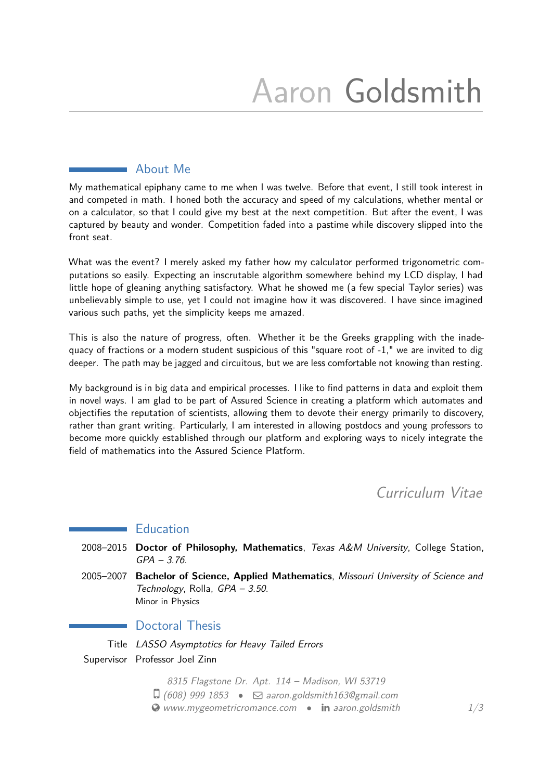# Aaron Goldsmith

## About Me

My mathematical epiphany came to me when I was twelve. Before that event, I still took interest in and competed in math. I honed both the accuracy and speed of my calculations, whether mental or on a calculator, so that I could give my best at the next competition. But after the event, I was captured by beauty and wonder. Competition faded into a pastime while discovery slipped into the front seat.

What was the event? I merely asked my father how my calculator performed trigonometric computations so easily. Expecting an inscrutable algorithm somewhere behind my LCD display, I had little hope of gleaning anything satisfactory. What he showed me (a few special Taylor series) was unbelievably simple to use, yet I could not imagine how it was discovered. I have since imagined various such paths, yet the simplicity keeps me amazed.

This is also the nature of progress, often. Whether it be the Greeks grappling with the inadequacy of fractions or a modern student suspicious of this "square root of -1," we are invited to dig deeper. The path may be jagged and circuitous, but we are less comfortable not knowing than resting.

My background is in big data and empirical processes. I like to find patterns in data and exploit them in novel ways. I am glad to be part of Assured Science in creating a platform which automates and objectifies the reputation of scientists, allowing them to devote their energy primarily to discovery, rather than grant writing. Particularly, I am interested in allowing postdocs and young professors to become more quickly established through our platform and exploring ways to nicely integrate the field of mathematics into the Assured Science Platform.

Curriculum Vitae

# **Education**

- 2008–2015 **Doctor of Philosophy, Mathematics**, Texas A&M University, College Station, GPA – 3.76.
- 2005–2007 **Bachelor of Science, Applied Mathematics**, Missouri University of Science and Technology, Rolla, GPA – 3.50. Minor in Physics

## Doctoral Thesis

Title LASSO Asymptotics for Heavy Tailed Errors Supervisor Professor Joel Zinn

> 8315 Flagstone Dr. Apt. 114 – Madison, WI 53719  $\Box$  (608) 999 1853 •  $\Box$  [aaron.goldsmith163@gmail.com](mailto:aaron.goldsmith163@gmail.com)

 $\bullet$  [www.mygeometricromance.com](http://www.mygeometricromance.com)  $\bullet$  in [aaron.goldsmith](http://www.linkedin.com/in/aaron.goldsmith)  $1/3$  $1/3$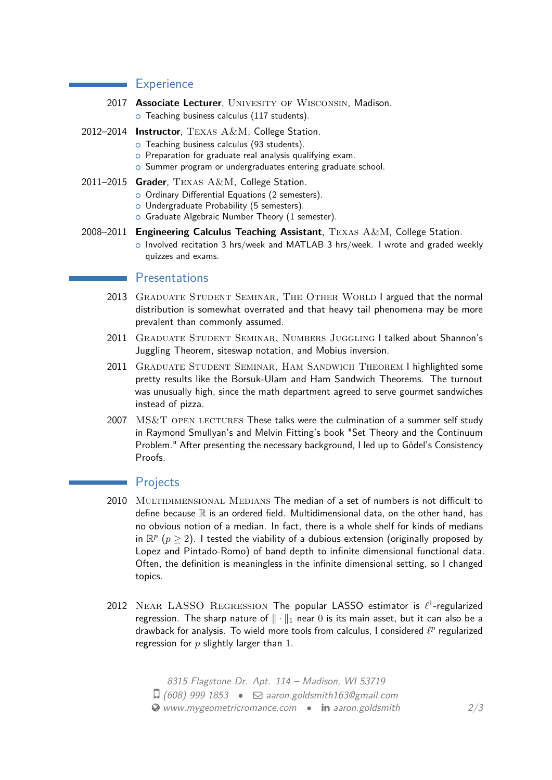#### **Experience**

- 2017 **Associate Lecturer**, UNIVESITY OF WISCONSIN, Madison.
	- o Teaching business calculus (117 students).
- 2012–2014 **Instructor**, Texas A&M, College Station.
	- o Teaching business calculus (93 students).
	- o Preparation for graduate real analysis qualifying exam.
	- o Summer program or undergraduates entering graduate school.
- 2011–2015 **Grader**, Texas A&M, College Station.
	- o Ordinary Differential Equations (2 semesters).
	- o Undergraduate Probability (5 semesters).
	- o Graduate Algebraic Number Theory (1 semester).
- 2008–2011 **Engineering Calculus Teaching Assistant**, Texas A&M, College Station. o Involved recitation 3 hrs/week and MATLAB 3 hrs/week. I wrote and graded weekly quizzes and exams.

#### **Presentations**

- 2013 GRADUATE STUDENT SEMINAR, THE OTHER WORLD I argued that the normal distribution is somewhat overrated and that heavy tail phenomena may be more prevalent than commonly assumed.
- 2011 Graduate Student Seminar, Numbers Juggling I talked about Shannon's Juggling Theorem, siteswap notation, and Mobius inversion.
- 2011 Graduate Student Seminar, Ham Sandwich Theorem I highlighted some pretty results like the Borsuk-Ulam and Ham Sandwich Theorems. The turnout was unusually high, since the math department agreed to serve gourmet sandwiches instead of pizza.
- $2007$   $MS&T$  OPEN LECTURES These talks were the culmination of a summer self study in Raymond Smullyan's and Melvin Fitting's book "Set Theory and the Continuum Problem." After presenting the necessary background, I led up to Gödel's Consistency Proofs.

# Projects

- 2010 MULTIDIMENSIONAL MEDIANS The median of a set of numbers is not difficult to define because  $\mathbb R$  is an ordered field. Multidimensional data, on the other hand, has no obvious notion of a median. In fact, there is a whole shelf for kinds of medians in  $\mathbb{R}^p$   $(p \geq 2)$ . I tested the viability of a dubious extension (originally proposed by Lopez and Pintado-Romo) of band depth to infinite dimensional functional data. Often, the definition is meaningless in the infinite dimensional setting, so I changed topics.
- 2012 NEAR LASSO REGRESSION The popular LASSO estimator is  $\ell^1$ -regularized regression. The sharp nature of  $\|\cdot\|_1$  near 0 is its main asset, but it can also be a drawback for analysis. To wield more tools from calculus, I considered  $\ell^p$  regularized regression for *p* slightly larger than 1.

8315 Flagstone Dr. Apt. 114 – Madison, WI 53719  $\Box$  (608) 999 1853 •  $\Box$  [aaron.goldsmith163@gmail.com](mailto:aaron.goldsmith163@gmail.com)  $\bullet$  [www.mygeometricromance.com](http://www.mygeometricromance.com)  $\bullet$  in [aaron.goldsmith](http://www.linkedin.com/in/aaron.goldsmith)  $2/3$  $2/3$